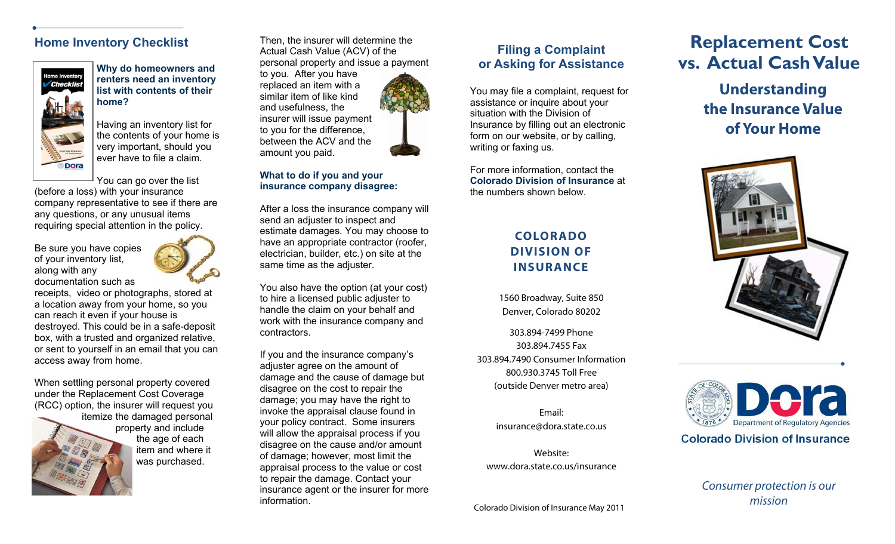### **Home Inventory Checklist**



**renters need an inventory list with contents of their home?** 

Having an inventory list for the contents of your home is very important, should you ever have to file a claim.

You can go over the list

(before a loss) with your insurance company representative to see if there are any questions, or any unusual items requiring special attention in the policy.

Be sure you have copies of your inventory list, along with any documentation such as



the age of each item and where it was purchased.

receipts, video or photographs, stored at a location away from your home, so you can reach it even if your house is destroyed. This could be in a safe-deposit box, with a trusted and organized relative, or sent to yourself in an email that you can access away from home.

When settling personal property covered under the Replacement Cost Coverage (RCC) option, the insurer will request you

itemize the damaged personal property and include

Then, the insurer will determine the Actual Cash Value (ACV) of the personal property and issue a payment

to you. After you have replaced an item with a similar item of like kind and usefulness, the insurer will issue payment to you for the difference, between the ACV and the amount you paid.



### **What to do if you and your insurance company disagree:**

After a loss the insurance company will send an adjuster to inspect and estimate damages. You may choose to have an appropriate contractor (roofer, electrician, builder, etc.) on site at the same time as the adjuster.

You also have the option (at your cost) to hire a licensed public adjuster to handle the claim on your behalf and work with the insurance company and contractors.

If you and the insurance company's adjuster agree on the amount of damage and the cause of damage but disagree on the cost to repair the damage; you may have the right to invoke the appraisal clause found in your policy contract. Some insurers will allow the appraisal process if you disagree on the cause and/or amount of damage; however, most limit the appraisal process to the value or cost to repair the damage. Contact your insurance agent or the insurer for more information.

## **Filing a Complaint or Asking for Assistance**

You may file a complaint, request for assistance or inquire about your situation with the Division of Insurance by filling out an electronic form on our website, or by calling, writing or faxing us.

For more information, contact the **Colorado Division of Insurance** at the numbers shown below.

## **COLORADO DIVISION OF INSURANCE**

1560 Broadway, Suite 850 Denver, Colorado 80202

303.894-7499 Phone 303.894.7455 Fax 303.894.7490 Consumer Information 800.930.3745 Toll Free (outside Denver metro area)

> Email: insurance@dora.state.co.us

Website: www.dora.state.co.us/insurance

Colorado Division of Insurance May 2011

# **Replacement Cost**  Why do homeowners and **personal property and issue a payment** or Asking for Assistance **vs. Actual Cash Value**

**Understanding the Insurance Value of Your Home** 





Consumer protection is our mission